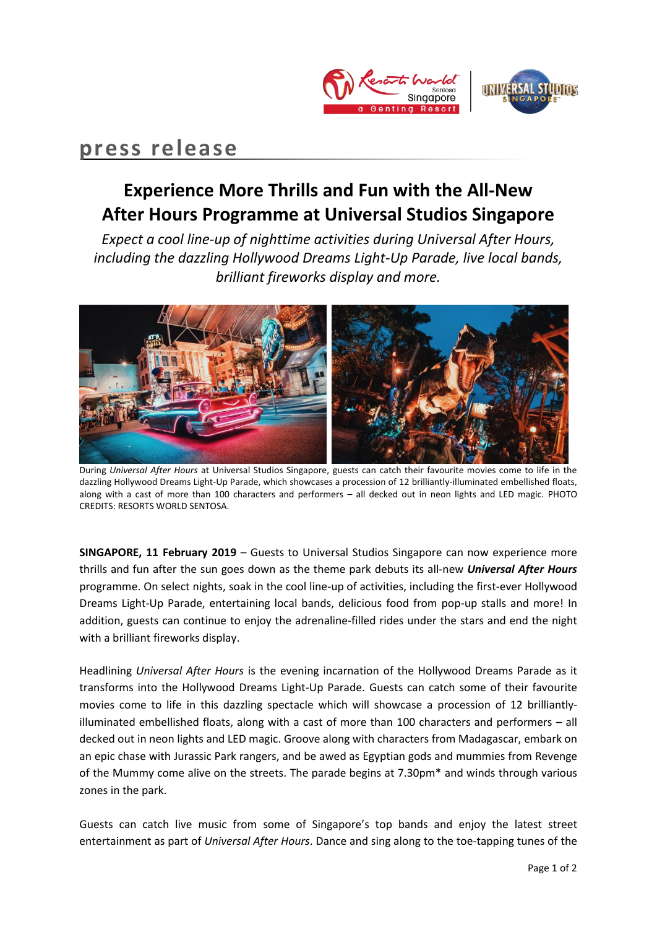

## **press release**

## **Experience More Thrills and Fun with the All-New After Hours Programme at Universal Studios Singapore**

*Expect a cool line-up of nighttime activities during Universal After Hours, including the dazzling Hollywood Dreams Light-Up Parade, live local bands, brilliant fireworks display and more.*



During *Universal After Hours* at Universal Studios Singapore, guests can catch their favourite movies come to life in the dazzling Hollywood Dreams Light-Up Parade, which showcases a procession of 12 brilliantly-illuminated embellished floats, along with a cast of more than 100 characters and performers – all decked out in neon lights and LED magic. PHOTO CREDITS: RESORTS WORLD SENTOSA.

**SINGAPORE, 11 February 2019** – Guests to Universal Studios Singapore can now experience more thrills and fun after the sun goes down as the theme park debuts its all-new *Universal After Hours* programme. On select nights, soak in the cool line-up of activities, including the first-ever Hollywood Dreams Light-Up Parade, entertaining local bands, delicious food from pop-up stalls and more! In addition, guests can continue to enjoy the adrenaline-filled rides under the stars and end the night with a brilliant fireworks display.

Headlining *Universal After Hours* is the evening incarnation of the Hollywood Dreams Parade as it transforms into the Hollywood Dreams Light-Up Parade. Guests can catch some of their favourite movies come to life in this dazzling spectacle which will showcase a procession of 12 brilliantlyilluminated embellished floats, along with a cast of more than 100 characters and performers – all decked out in neon lights and LED magic. Groove along with characters from Madagascar, embark on an epic chase with Jurassic Park rangers, and be awed as Egyptian gods and mummies from Revenge of the Mummy come alive on the streets. The parade begins at 7.30pm\* and winds through various zones in the park.

Guests can catch live music from some of Singapore's top bands and enjoy the latest street entertainment as part of *Universal After Hours*. Dance and sing along to the toe-tapping tunes of the